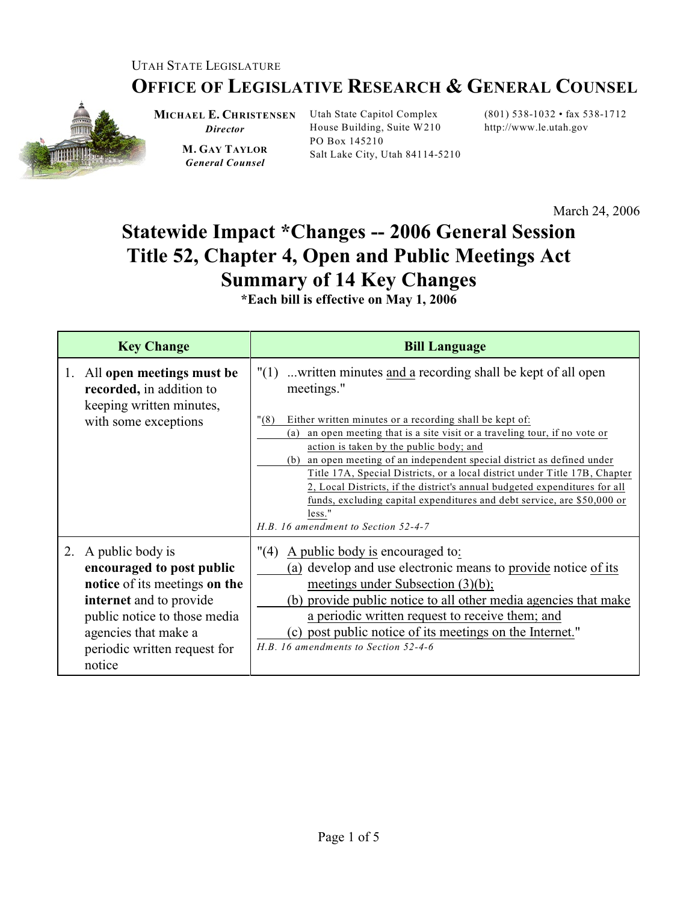## UTAH STATE LEGISLATURE

## **OFFICE OF LEGISLATIVE RESEARCH & GENERAL COUNSEL**



**MICHAEL E. CHRISTENSEN** Utah State Capitol Complex *Director*

**M. GAY TAYLOR** *General Counsel*

House Building, Suite W210 PO Box 145210 Salt Lake City, Utah 84114-5210

(801) 538-1032 • fax 538-1712 http://www.le.utah.gov

March 24, 2006

## **Statewide Impact \*Changes -- 2006 General Session Title 52, Chapter 4, Open and Public Meetings Act Summary of 14 Key Changes**

**\*Each bill is effective on May 1, 2006**

| <b>Key Change</b>                                                                                                                                                                                              | <b>Bill Language</b>                                                                                                                                                                                                                                                                                                                                                                                                                                                                                                                                                                                                                                 |
|----------------------------------------------------------------------------------------------------------------------------------------------------------------------------------------------------------------|------------------------------------------------------------------------------------------------------------------------------------------------------------------------------------------------------------------------------------------------------------------------------------------------------------------------------------------------------------------------------------------------------------------------------------------------------------------------------------------------------------------------------------------------------------------------------------------------------------------------------------------------------|
| All open meetings must be<br>1.<br>recorded, in addition to<br>keeping written minutes,<br>with some exceptions                                                                                                | $"(1)$ written minutes and a recording shall be kept of all open<br>meetings."<br>"(8)<br>Either written minutes or a recording shall be kept of:<br>an open meeting that is a site visit or a traveling tour, if no vote or<br>(a)<br>action is taken by the public body; and<br>an open meeting of an independent special district as defined under<br>(b)<br>Title 17A, Special Districts, or a local district under Title 17B, Chapter<br>2, Local Districts, if the district's annual budgeted expenditures for all<br>funds, excluding capital expenditures and debt service, are \$50,000 or<br>less."<br>H.B. 16 amendment to Section 52-4-7 |
| 2. A public body is<br>encouraged to post public<br>notice of its meetings on the<br>internet and to provide<br>public notice to those media<br>agencies that make a<br>periodic written request for<br>notice | A public body is encouraged to:<br>"(4)<br>(a) develop and use electronic means to provide notice of its<br>meetings under Subsection $(3)(b)$ ;<br>(b) provide public notice to all other media agencies that make<br>a periodic written request to receive them; and<br>(c) post public notice of its meetings on the Internet."<br>H.B. 16 amendments to Section 52-4-6                                                                                                                                                                                                                                                                           |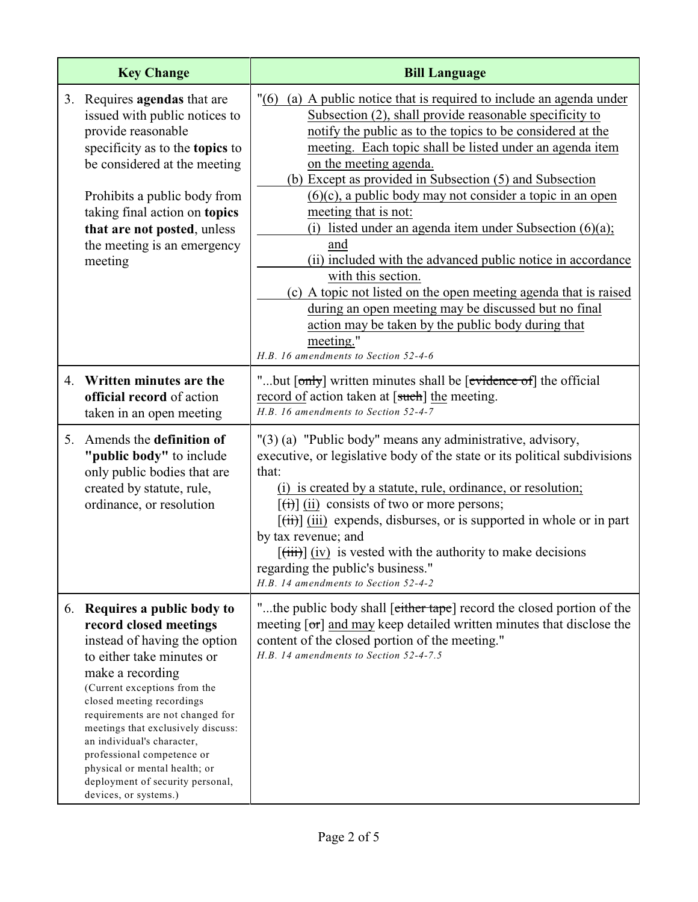|    | <b>Key Change</b>                                                                                                                                                                                                                                                                                                                                                                                                                        | <b>Bill Language</b>                                                                                                                                                                                                                                                                                                                                                                                                                                                                                                                                                                                                                                                                                                                                                                                                                     |
|----|------------------------------------------------------------------------------------------------------------------------------------------------------------------------------------------------------------------------------------------------------------------------------------------------------------------------------------------------------------------------------------------------------------------------------------------|------------------------------------------------------------------------------------------------------------------------------------------------------------------------------------------------------------------------------------------------------------------------------------------------------------------------------------------------------------------------------------------------------------------------------------------------------------------------------------------------------------------------------------------------------------------------------------------------------------------------------------------------------------------------------------------------------------------------------------------------------------------------------------------------------------------------------------------|
|    | 3. Requires agendas that are<br>issued with public notices to<br>provide reasonable<br>specificity as to the topics to<br>be considered at the meeting<br>Prohibits a public body from<br>taking final action on topics<br>that are not posted, unless<br>the meeting is an emergency<br>meeting                                                                                                                                         | "(6) (a) A public notice that is required to include an agenda under<br>Subsection (2), shall provide reasonable specificity to<br>notify the public as to the topics to be considered at the<br>meeting. Each topic shall be listed under an agenda item<br>on the meeting agenda.<br>(b) Except as provided in Subsection (5) and Subsection<br>$(6)(c)$ , a public body may not consider a topic in an open<br>meeting that is not:<br>(i) listed under an agenda item under Subsection $(6)(a)$ ;<br>and<br>(ii) included with the advanced public notice in accordance<br>with this section.<br>(c) A topic not listed on the open meeting agenda that is raised<br>during an open meeting may be discussed but no final<br>action may be taken by the public body during that<br>meeting."<br>H.B. 16 amendments to Section 52-4-6 |
| 4. | Written minutes are the<br>official record of action<br>taken in an open meeting                                                                                                                                                                                                                                                                                                                                                         | "but [only] written minutes shall be [evidence of] the official<br>record of action taken at [such] the meeting.<br>H.B. 16 amendments to Section 52-4-7                                                                                                                                                                                                                                                                                                                                                                                                                                                                                                                                                                                                                                                                                 |
| 5. | Amends the definition of<br>"public body" to include<br>only public bodies that are<br>created by statute, rule,<br>ordinance, or resolution                                                                                                                                                                                                                                                                                             | "(3) (a) "Public body" means any administrative, advisory,<br>executive, or legislative body of the state or its political subdivisions<br>that:<br>(i) is created by a statute, rule, ordinance, or resolution;<br>$[\overrightarrow{(t)}]$ (ii) consists of two or more persons;<br>$[\overrightarrow{tii}]$ (iii) expends, disburses, or is supported in whole or in part<br>by tax revenue; and<br>$\left[\frac{1}{111}\right]\left(iv\right)$ is vested with the authority to make decisions<br>regarding the public's business."<br>H.B. 14 amendments to Section 52-4-2                                                                                                                                                                                                                                                           |
|    | 6. Requires a public body to<br>record closed meetings<br>instead of having the option<br>to either take minutes or<br>make a recording<br>(Current exceptions from the<br>closed meeting recordings<br>requirements are not changed for<br>meetings that exclusively discuss:<br>an individual's character,<br>professional competence or<br>physical or mental health; or<br>deployment of security personal,<br>devices, or systems.) | "the public body shall [either tape] record the closed portion of the<br>meeting $\lceil \sigma r \rceil$ and may keep detailed written minutes that disclose the<br>content of the closed portion of the meeting."<br>H.B. 14 amendments to Section 52-4-7.5                                                                                                                                                                                                                                                                                                                                                                                                                                                                                                                                                                            |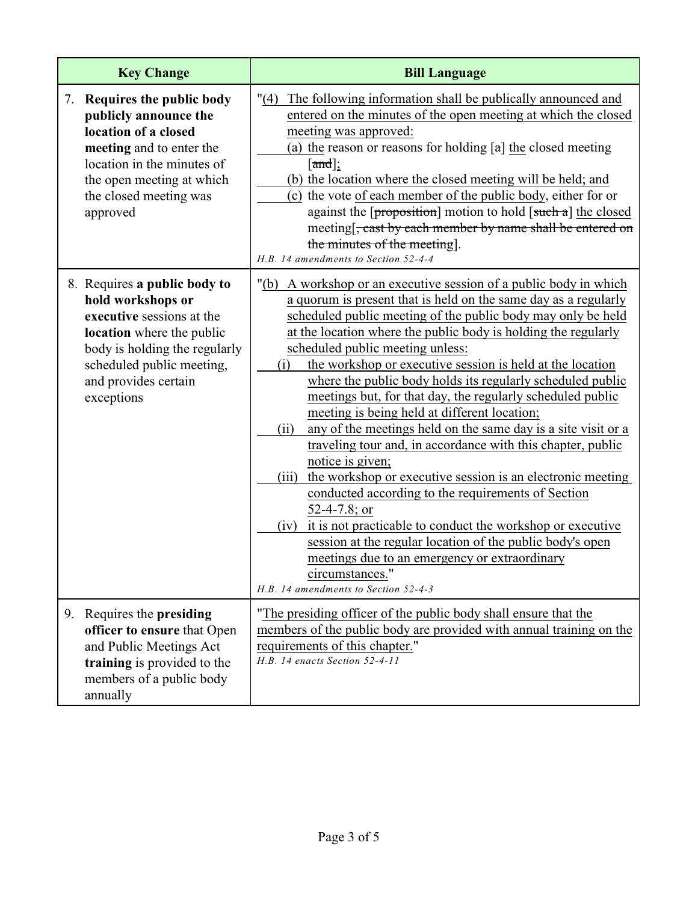| <b>Key Change</b>                                                                                                                                                                                               | <b>Bill Language</b>                                                                                                                                                                                                                                                                                                                                                                                                                                                                                                                                                                                                                                                                                                                                                                                                                                                                                                                                                                                                                                                                                              |
|-----------------------------------------------------------------------------------------------------------------------------------------------------------------------------------------------------------------|-------------------------------------------------------------------------------------------------------------------------------------------------------------------------------------------------------------------------------------------------------------------------------------------------------------------------------------------------------------------------------------------------------------------------------------------------------------------------------------------------------------------------------------------------------------------------------------------------------------------------------------------------------------------------------------------------------------------------------------------------------------------------------------------------------------------------------------------------------------------------------------------------------------------------------------------------------------------------------------------------------------------------------------------------------------------------------------------------------------------|
| Requires the public body<br>7.<br>publicly announce the<br>location of a closed<br>meeting and to enter the<br>location in the minutes of<br>the open meeting at which<br>the closed meeting was<br>approved    | "(4) The following information shall be publically announced and<br>entered on the minutes of the open meeting at which the closed<br>meeting was approved:<br>(a) the reason or reasons for holding $[a]$ the closed meeting<br>[ $and$ ];<br>(b) the location where the closed meeting will be held; and<br>(c) the vote of each member of the public body, either for or<br>against the $\lceil$ proposition] motion to hold $\lceil$ such a] the closed<br>meeting[, cast by each member by name shall be entered on<br>the minutes of the meeting.<br>H.B. 14 amendments to Section 52-4-4                                                                                                                                                                                                                                                                                                                                                                                                                                                                                                                   |
| 8. Requires a public body to<br>hold workshops or<br>executive sessions at the<br>location where the public<br>body is holding the regularly<br>scheduled public meeting,<br>and provides certain<br>exceptions | "(b) A workshop or an executive session of a public body in which<br>a quorum is present that is held on the same day as a regularly<br>scheduled public meeting of the public body may only be held<br>at the location where the public body is holding the regularly<br>scheduled public meeting unless:<br>the workshop or executive session is held at the location<br>(i)<br>where the public body holds its regularly scheduled public<br>meetings but, for that day, the regularly scheduled public<br>meeting is being held at different location;<br>any of the meetings held on the same day is a site visit or a<br>(ii)<br>traveling tour and, in accordance with this chapter, public<br>notice is given;<br>the workshop or executive session is an electronic meeting<br>(iii)<br>conducted according to the requirements of Section<br>52-4-7.8; or<br>it is not practicable to conduct the workshop or executive<br>(iv)<br>session at the regular location of the public body's open<br>meetings due to an emergency or extraordinary<br>circumstances.<br>H.B. 14 amendments to Section 52-4-3 |
| 9. Requires the presiding<br>officer to ensure that Open<br>and Public Meetings Act<br>training is provided to the<br>members of a public body<br>annually                                                      | "The presiding officer of the public body shall ensure that the<br>members of the public body are provided with annual training on the<br>requirements of this chapter."<br>H.B. 14 enacts Section 52-4-11                                                                                                                                                                                                                                                                                                                                                                                                                                                                                                                                                                                                                                                                                                                                                                                                                                                                                                        |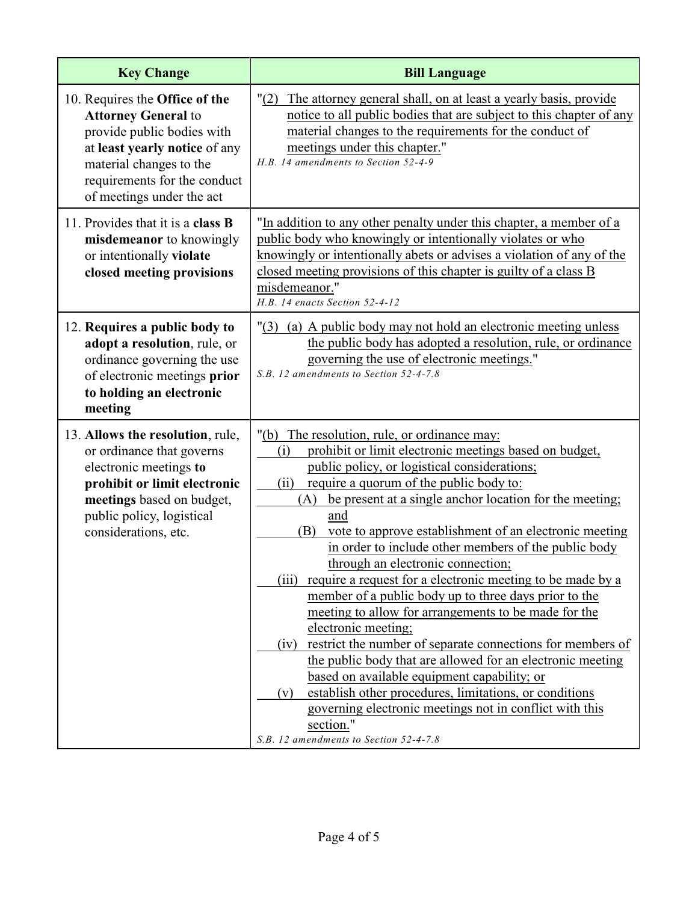| <b>Key Change</b>                                                                                                                                                                                                   | <b>Bill Language</b>                                                                                                                                                                                                                                                                                                                                                                                                                                                                                                                                                                                                                                                                                                                                                                                                                                                                                                                                                                                                                         |
|---------------------------------------------------------------------------------------------------------------------------------------------------------------------------------------------------------------------|----------------------------------------------------------------------------------------------------------------------------------------------------------------------------------------------------------------------------------------------------------------------------------------------------------------------------------------------------------------------------------------------------------------------------------------------------------------------------------------------------------------------------------------------------------------------------------------------------------------------------------------------------------------------------------------------------------------------------------------------------------------------------------------------------------------------------------------------------------------------------------------------------------------------------------------------------------------------------------------------------------------------------------------------|
| 10. Requires the Office of the<br><b>Attorney General to</b><br>provide public bodies with<br>at least yearly notice of any<br>material changes to the<br>requirements for the conduct<br>of meetings under the act | "(2)<br>The attorney general shall, on at least a yearly basis, provide<br>notice to all public bodies that are subject to this chapter of any<br>material changes to the requirements for the conduct of<br>meetings under this chapter."<br>H.B. 14 amendments to Section 52-4-9                                                                                                                                                                                                                                                                                                                                                                                                                                                                                                                                                                                                                                                                                                                                                           |
| 11. Provides that it is a class <b>B</b><br>misdemeanor to knowingly<br>or intentionally violate<br>closed meeting provisions                                                                                       | "In addition to any other penalty under this chapter, a member of a<br>public body who knowingly or intentionally violates or who<br>knowingly or intentionally abets or advises a violation of any of the<br>closed meeting provisions of this chapter is guilty of a class B<br>misdemeanor."<br>H.B. 14 enacts Section 52-4-12                                                                                                                                                                                                                                                                                                                                                                                                                                                                                                                                                                                                                                                                                                            |
| 12. Requires a public body to<br>adopt a resolution, rule, or<br>ordinance governing the use<br>of electronic meetings prior<br>to holding an electronic<br>meeting                                                 | "(3) (a) A public body may not hold an electronic meeting unless<br>the public body has adopted a resolution, rule, or ordinance<br>governing the use of electronic meetings."<br>S.B. 12 amendments to Section 52-4-7.8                                                                                                                                                                                                                                                                                                                                                                                                                                                                                                                                                                                                                                                                                                                                                                                                                     |
| 13. Allows the resolution, rule,<br>or ordinance that governs<br>electronic meetings to<br>prohibit or limit electronic<br>meetings based on budget,<br>public policy, logistical<br>considerations, etc.           | "(b) The resolution, rule, or ordinance may:<br>prohibit or limit electronic meetings based on budget,<br>(i)<br>public policy, or logistical considerations;<br>require a quorum of the public body to:<br>(ii)<br>be present at a single anchor location for the meeting;<br>(A)<br>and<br>vote to approve establishment of an electronic meeting<br>(B)<br>in order to include other members of the public body<br>through an electronic connection;<br>require a request for a electronic meeting to be made by a<br>(iii)<br>member of a public body up to three days prior to the<br>meeting to allow for arrangements to be made for the<br>electronic meeting;<br>restrict the number of separate connections for members of<br>(iv)<br>the public body that are allowed for an electronic meeting<br>based on available equipment capability; or<br>establish other procedures, limitations, or conditions<br>(v)<br>governing electronic meetings not in conflict with this<br>section."<br>S.B. 12 amendments to Section 52-4-7.8 |